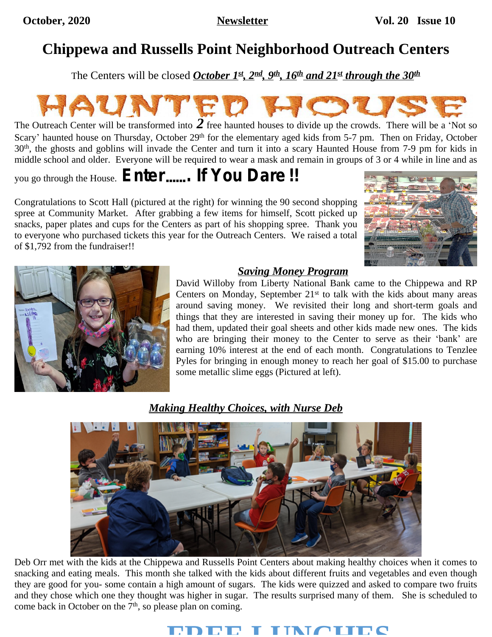## **Chippewa and Russells Point Neighborhood Outreach Centers**

The Centers will be closed *October 1st, 2nd, 9th, 16th and 21st through the 30th*



The Outreach Center will be transformed into *2* free haunted houses to divide up the crowds. There will be <sup>a</sup> 'Not so Scary' haunted house on Thursday, October 29<sup>th</sup> for the elementary aged kids from 5-7 pm. Then on Friday, October 30th , the ghosts and goblins will invade the Center and turn it into a scary Haunted House from 7-9 pm for kids in middle school and older. Everyone will be required to wear a mask and remain in groups of 3 or 4 while in line and as

## you go through the House. *Enter*……*. If You Dare !!*

Congratulations to Scott Hall (pictured at the right) for winning the 90 second shopping spree at Community Market. After grabbing a few items for himself, Scott picked up snacks, paper plates and cups for the Centers as part of his shopping spree. Thank you to everyone who purchased tickets this year for the Outreach Centers. We raised a total of \$1,792 from the fundraiser!!





#### *Saving Money Program*

David Willoby from Liberty National Bank came to the Chippewa and RP Centers on Monday, September  $21<sup>st</sup>$  to talk with the kids about many areas around saving money. We revisited their long and short-term goals and things that they are interested in saving their money up for. The kids who had them, updated their goal sheets and other kids made new ones. The kids who are bringing their money to the Center to serve as their 'bank' are earning 10% interest at the end of each month. Congratulations to Tenzlee Pyles for bringing in enough money to reach her goal of \$15.00 to purchase some metallic slime eggs (Pictured at left).

#### *Making Healthy Choices, with Nurse Deb*



Deb Orr met with the kids at the Chippewa and Russells Point Centers about making healthy choices when it comes to snacking and eating meals. This month she talked with the kids about different fruits and vegetables and even though they are good for you- some contain a high amount of sugars. The kids were quizzed and asked to compare two fruits and they chose which one they thought was higher in sugar. The results surprised many of them. She is scheduled to come back in October on the 7<sup>th</sup>, so please plan on coming.

# **FREE LUNCHES**